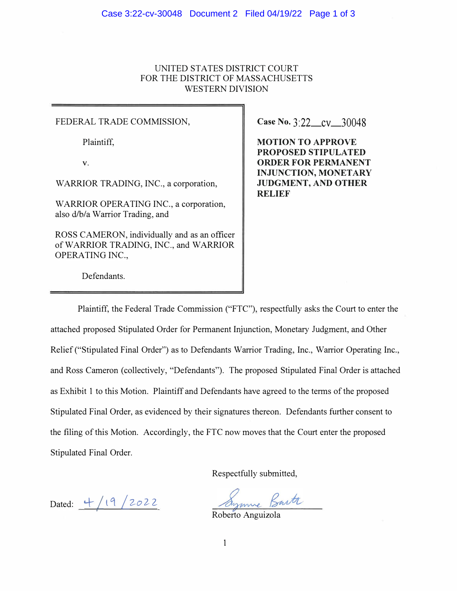## UNITED STATES DISTRICT COURT FOR THE DISTRICT OF MASSACHUSETTS WESTERN DIVISION

## FEDERAL TRADE COMMISSION, **Case No.** 3:22\_cv\_30048

WARRIOR TRADING, INC., a corporation,  $\|\$  JUDGMENT, AND OTHER

WARRIOR OPERA TING INC., a corporation, also d/b/a Warrior Trading, and

ROSS CAMERON, individually and as an officer of WARRIOR TRADING, INC., and WARRIOR OPERATING INC.,

Plaintiff, **MOTION TO APPROVE PROPOSED STIPULATED** V. **ORDER FOR PERMANENT INJUNCTION, MONETARY RELIEF** 

Defendants.

Plaintiff, the Federal Trade Commission ("FTC"), respectfully asks the Court to enter the attached proposed Stipulated Order for Permanent Injunction, Monetary Judgment, and Other Relief ("Stipulated Final Order") as to Defendants Warrior Trading, Inc., Warrior Operating Inc., and Ross Cameron (collectively, "Defendants"). The proposed Stipulated Final Order is attached as Exhibit 1 to this Motion. Plaintiff and Defendants have agreed to the terms of the proposed Stipulated Final Order, as evidenced by their signatures thereon. Defendants further consent to the filing of this Motion. Accordingly, the FTC now moves that the Court enter the proposed Stipulated Final Order.

Respectfully submitted,

Dated:  $\frac{4}{19}$ /2022<br>Roberto Anguizola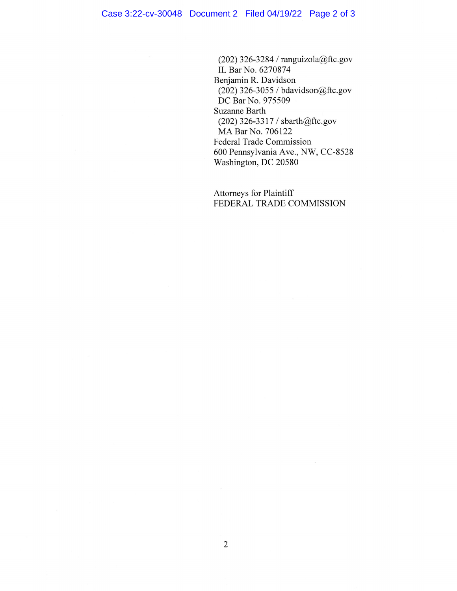(202) 326-3284 / ranguizola@ftc.gov IL Bar No. 6270874 Benjamin R. Davidson (202) 326-3055 / bdavidson@ftc.gov DC Bar No. 975509 **Suzanne Barth** (202) 326-3317 / sbarth@ftc.gov MA Bar No. 706122 Federal Trade Commission 600 Pennsylvania Ave., NW, CC-8528 Washington, DC 20580

Attorneys for Plaintiff FEDERAL TRADE COMMISSION